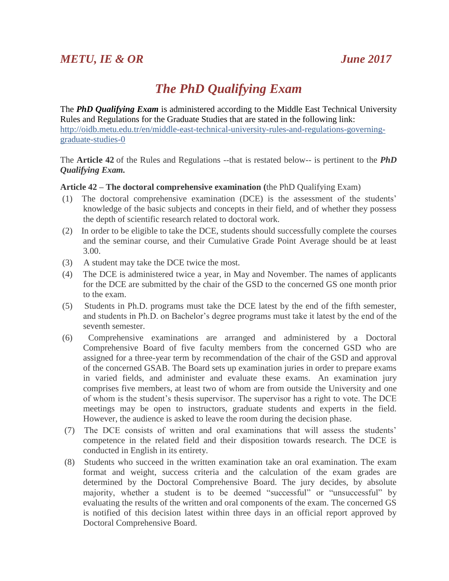## *The PhD Qualifying Exam*

The *PhD Qualifying Exam* is administered according to the Middle East Technical University Rules and Regulations for the Graduate Studies that are stated in the following link: [http://oidb.metu.edu.tr/en/middle-east-technical-university-rules-and-regulations-governing](http://oidb.metu.edu.tr/en/middle-east-technical-university-rules-and-regulations-governing-graduate-studies-0)[graduate-studies-0](http://oidb.metu.edu.tr/en/middle-east-technical-university-rules-and-regulations-governing-graduate-studies-0)

The **Article 42** of the Rules and Regulations --that is restated below-- is pertinent to the *PhD Qualifying Exam.*

## **Article 42 – The doctoral comprehensive examination (**the PhD Qualifying Exam)

- (1) The doctoral comprehensive examination (DCE) is the assessment of the students' knowledge of the basic subjects and concepts in their field, and of whether they possess the depth of scientific research related to doctoral work.
- (2) In order to be eligible to take the DCE, students should successfully complete the courses and the seminar course, and their Cumulative Grade Point Average should be at least 3.00.
- (3) A student may take the DCE twice the most.
- (4) The DCE is administered twice a year, in May and November. The names of applicants for the DCE are submitted by the chair of the GSD to the concerned GS one month prior to the exam.
- (5) Students in Ph.D. programs must take the DCE latest by the end of the fifth semester, and students in Ph.D. on Bachelor's degree programs must take it latest by the end of the seventh semester.
- (6) Comprehensive examinations are arranged and administered by a Doctoral Comprehensive Board of five faculty members from the concerned GSD who are assigned for a three-year term by recommendation of the chair of the GSD and approval of the concerned GSAB. The Board sets up examination juries in order to prepare exams in varied fields, and administer and evaluate these exams. An examination jury comprises five members, at least two of whom are from outside the University and one of whom is the student's thesis supervisor. The supervisor has a right to vote. The DCE meetings may be open to instructors, graduate students and experts in the field. However, the audience is asked to leave the room during the decision phase.
- (7) The DCE consists of written and oral examinations that will assess the students' competence in the related field and their disposition towards research. The DCE is conducted in English in its entirety.
- (8) Students who succeed in the written examination take an oral examination. The exam format and weight, success criteria and the calculation of the exam grades are determined by the Doctoral Comprehensive Board. The jury decides, by absolute majority, whether a student is to be deemed "successful" or "unsuccessful" by evaluating the results of the written and oral components of the exam. The concerned GS is notified of this decision latest within three days in an official report approved by Doctoral Comprehensive Board.